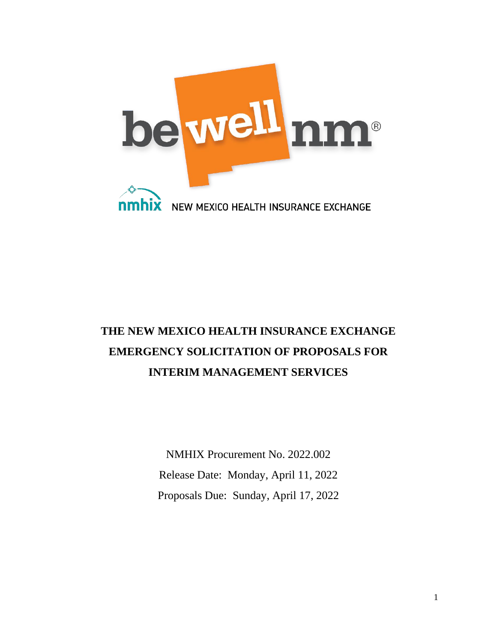

# **THE NEW MEXICO HEALTH INSURANCE EXCHANGE EMERGENCY SOLICITATION OF PROPOSALS FOR INTERIM MANAGEMENT SERVICES**

NMHIX Procurement No. 2022.002 Release Date: Monday, April 11, 2022 Proposals Due: Sunday, April 17, 2022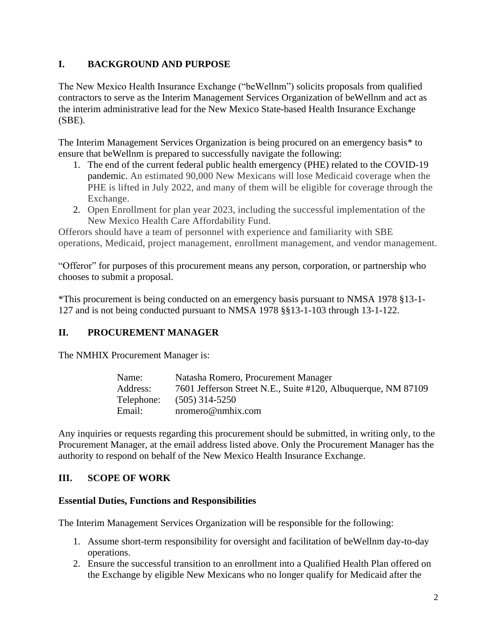## **I. BACKGROUND AND PURPOSE**

The New Mexico Health Insurance Exchange ("beWellnm") solicits proposals from qualified contractors to serve as the Interim Management Services Organization of beWellnm and act as the interim administrative lead for the New Mexico State-based Health Insurance Exchange (SBE).

The Interim Management Services Organization is being procured on an emergency basis\* to ensure that beWellnm is prepared to successfully navigate the following:

- 1. The end of the current federal public health emergency (PHE) related to the COVID-19 pandemic. An estimated 90,000 New Mexicans will lose Medicaid coverage when the PHE is lifted in July 2022, and many of them will be eligible for coverage through the Exchange.
- 2. Open Enrollment for plan year 2023, including the successful implementation of the New Mexico Health Care Affordability Fund.

Offerors should have a team of personnel with experience and familiarity with SBE operations, Medicaid, project management, enrollment management, and vendor management.

"Offeror" for purposes of this procurement means any person, corporation, or partnership who chooses to submit a proposal.

\*This procurement is being conducted on an emergency basis pursuant to NMSA 1978 §13-1- 127 and is not being conducted pursuant to NMSA 1978 §§13-1-103 through 13-1-122.

# **II. PROCUREMENT MANAGER**

The NMHIX Procurement Manager is:

| Name:      | Natasha Romero, Procurement Manager                           |  |  |
|------------|---------------------------------------------------------------|--|--|
| Address:   | 7601 Jefferson Street N.E., Suite #120, Albuquerque, NM 87109 |  |  |
| Telephone: | $(505)$ 314-5250                                              |  |  |
| Email:     | $n$ romero@nmhix.com                                          |  |  |

Any inquiries or requests regarding this procurement should be submitted, in writing only, to the Procurement Manager, at the email address listed above. Only the Procurement Manager has the authority to respond on behalf of the New Mexico Health Insurance Exchange.

# **III. SCOPE OF WORK**

## **Essential Duties, Functions and Responsibilities**

The Interim Management Services Organization will be responsible for the following:

- 1. Assume short-term responsibility for oversight and facilitation of beWellnm day-to-day operations.
- 2. Ensure the successful transition to an enrollment into a Qualified Health Plan offered on the Exchange by eligible New Mexicans who no longer qualify for Medicaid after the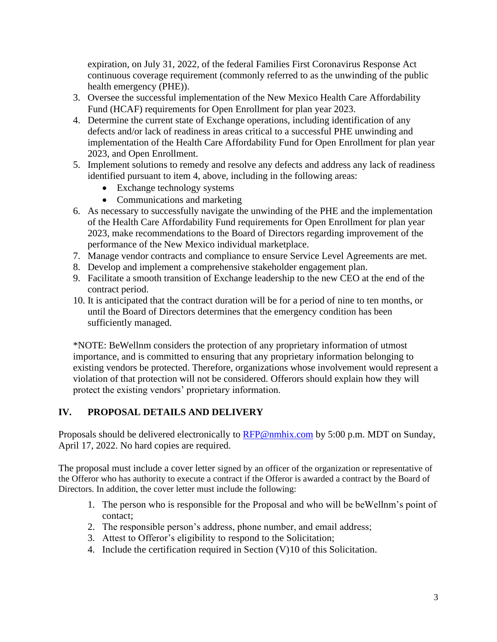expiration, on July 31, 2022, of the federal Families First Coronavirus Response Act continuous coverage requirement (commonly referred to as the unwinding of the public health emergency (PHE)).

- 3. Oversee the successful implementation of the New Mexico Health Care Affordability Fund (HCAF) requirements for Open Enrollment for plan year 2023.
- 4. Determine the current state of Exchange operations, including identification of any defects and/or lack of readiness in areas critical to a successful PHE unwinding and implementation of the Health Care Affordability Fund for Open Enrollment for plan year 2023, and Open Enrollment.
- 5. Implement solutions to remedy and resolve any defects and address any lack of readiness identified pursuant to item 4, above, including in the following areas:
	- Exchange technology systems
	- Communications and marketing
- 6. As necessary to successfully navigate the unwinding of the PHE and the implementation of the Health Care Affordability Fund requirements for Open Enrollment for plan year 2023, make recommendations to the Board of Directors regarding improvement of the performance of the New Mexico individual marketplace.
- 7. Manage vendor contracts and compliance to ensure Service Level Agreements are met.
- 8. Develop and implement a comprehensive stakeholder engagement plan.
- 9. Facilitate a smooth transition of Exchange leadership to the new CEO at the end of the contract period.
- 10. It is anticipated that the contract duration will be for a period of nine to ten months, or until the Board of Directors determines that the emergency condition has been sufficiently managed.

\*NOTE: BeWellnm considers the protection of any proprietary information of utmost importance, and is committed to ensuring that any proprietary information belonging to existing vendors be protected. Therefore, organizations whose involvement would represent a violation of that protection will not be considered. Offerors should explain how they will protect the existing vendors' proprietary information.

# **IV. PROPOSAL DETAILS AND DELIVERY**

Proposals should be delivered electronically to [RFP@nmhix.com](mailto:RFP@nmhix.com) by 5:00 p.m. MDT on Sunday, April 17, 2022. No hard copies are required.

The proposal must include a cover letter signed by an officer of the organization or representative of the Offeror who has authority to execute a contract if the Offeror is awarded a contract by the Board of Directors. In addition, the cover letter must include the following:

- 1. The person who is responsible for the Proposal and who will be beWellnm's point of contact;
- 2. The responsible person's address, phone number, and email address;
- 3. Attest to Offeror's eligibility to respond to the Solicitation;
- 4. Include the certification required in Section (V)10 of this Solicitation.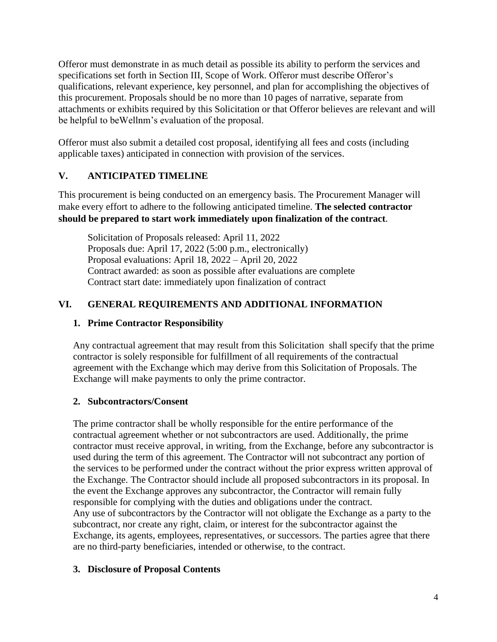Offeror must demonstrate in as much detail as possible its ability to perform the services and specifications set forth in Section III, Scope of Work. Offeror must describe Offeror's qualifications, relevant experience, key personnel, and plan for accomplishing the objectives of this procurement. Proposals should be no more than 10 pages of narrative, separate from attachments or exhibits required by this Solicitation or that Offeror believes are relevant and will be helpful to beWellnm's evaluation of the proposal.

Offeror must also submit a detailed cost proposal, identifying all fees and costs (including applicable taxes) anticipated in connection with provision of the services.

# **V. ANTICIPATED TIMELINE**

This procurement is being conducted on an emergency basis. The Procurement Manager will make every effort to adhere to the following anticipated timeline. **The selected contractor should be prepared to start work immediately upon finalization of the contract**.

Solicitation of Proposals released: April 11, 2022 Proposals due: April 17, 2022 (5:00 p.m., electronically) Proposal evaluations: April 18, 2022 – April 20, 2022 Contract awarded: as soon as possible after evaluations are complete Contract start date: immediately upon finalization of contract

# **VI. GENERAL REQUIREMENTS AND ADDITIONAL INFORMATION**

# **1. Prime Contractor Responsibility**

Any contractual agreement that may result from this Solicitation shall specify that the prime contractor is solely responsible for fulfillment of all requirements of the contractual agreement with the Exchange which may derive from this Solicitation of Proposals. The Exchange will make payments to only the prime contractor.

# **2. Subcontractors/Consent**

The prime contractor shall be wholly responsible for the entire performance of the contractual agreement whether or not subcontractors are used. Additionally, the prime contractor must receive approval, in writing, from the Exchange, before any subcontractor is used during the term of this agreement. The Contractor will not subcontract any portion of the services to be performed under the contract without the prior express written approval of the Exchange. The Contractor should include all proposed subcontractors in its proposal. In the event the Exchange approves any subcontractor, the Contractor will remain fully responsible for complying with the duties and obligations under the contract. Any use of subcontractors by the Contractor will not obligate the Exchange as a party to the subcontract, nor create any right, claim, or interest for the subcontractor against the Exchange, its agents, employees, representatives, or successors. The parties agree that there are no third-party beneficiaries, intended or otherwise, to the contract.

# **3. Disclosure of Proposal Contents**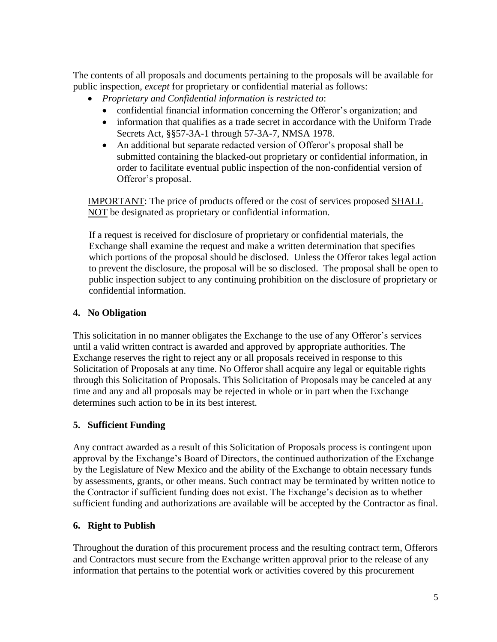The contents of all proposals and documents pertaining to the proposals will be available for public inspection, *except* for proprietary or confidential material as follows:

- *Proprietary and Confidential information is restricted to*:
	- confidential financial information concerning the Offeror's organization; and
	- information that qualifies as a trade secret in accordance with the Uniform Trade Secrets Act, §§57-3A-1 through 57-3A-7, NMSA 1978.
	- An additional but separate redacted version of Offeror's proposal shall be submitted containing the blacked-out proprietary or confidential information, in order to facilitate eventual public inspection of the non-confidential version of Offeror's proposal.

IMPORTANT: The price of products offered or the cost of services proposed SHALL NOT be designated as proprietary or confidential information.

If a request is received for disclosure of proprietary or confidential materials, the Exchange shall examine the request and make a written determination that specifies which portions of the proposal should be disclosed. Unless the Offeror takes legal action to prevent the disclosure, the proposal will be so disclosed. The proposal shall be open to public inspection subject to any continuing prohibition on the disclosure of proprietary or confidential information.

# **4. No Obligation**

This solicitation in no manner obligates the Exchange to the use of any Offeror's services until a valid written contract is awarded and approved by appropriate authorities. The Exchange reserves the right to reject any or all proposals received in response to this Solicitation of Proposals at any time. No Offeror shall acquire any legal or equitable rights through this Solicitation of Proposals. This Solicitation of Proposals may be canceled at any time and any and all proposals may be rejected in whole or in part when the Exchange determines such action to be in its best interest.

# **5. Sufficient Funding**

Any contract awarded as a result of this Solicitation of Proposals process is contingent upon approval by the Exchange's Board of Directors, the continued authorization of the Exchange by the Legislature of New Mexico and the ability of the Exchange to obtain necessary funds by assessments, grants, or other means. Such contract may be terminated by written notice to the Contractor if sufficient funding does not exist. The Exchange's decision as to whether sufficient funding and authorizations are available will be accepted by the Contractor as final.

# **6. Right to Publish**

Throughout the duration of this procurement process and the resulting contract term, Offerors and Contractors must secure from the Exchange written approval prior to the release of any information that pertains to the potential work or activities covered by this procurement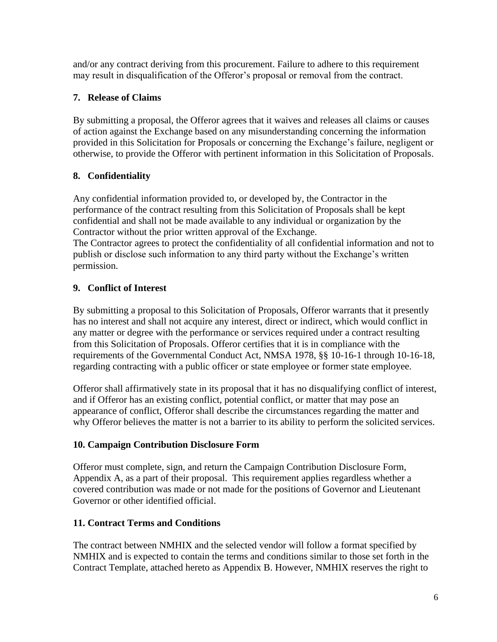and/or any contract deriving from this procurement. Failure to adhere to this requirement may result in disqualification of the Offeror's proposal or removal from the contract.

# **7. Release of Claims**

By submitting a proposal, the Offeror agrees that it waives and releases all claims or causes of action against the Exchange based on any misunderstanding concerning the information provided in this Solicitation for Proposals or concerning the Exchange's failure, negligent or otherwise, to provide the Offeror with pertinent information in this Solicitation of Proposals.

# **8. Confidentiality**

Any confidential information provided to, or developed by, the Contractor in the performance of the contract resulting from this Solicitation of Proposals shall be kept confidential and shall not be made available to any individual or organization by the Contractor without the prior written approval of the Exchange. The Contractor agrees to protect the confidentiality of all confidential information and not to publish or disclose such information to any third party without the Exchange's written permission.

# **9. Conflict of Interest**

By submitting a proposal to this Solicitation of Proposals, Offeror warrants that it presently has no interest and shall not acquire any interest, direct or indirect, which would conflict in any matter or degree with the performance or services required under a contract resulting from this Solicitation of Proposals. Offeror certifies that it is in compliance with the requirements of the Governmental Conduct Act, NMSA 1978, §§ 10-16-1 through 10-16-18, regarding contracting with a public officer or state employee or former state employee.

Offeror shall affirmatively state in its proposal that it has no disqualifying conflict of interest, and if Offeror has an existing conflict, potential conflict, or matter that may pose an appearance of conflict, Offeror shall describe the circumstances regarding the matter and why Offeror believes the matter is not a barrier to its ability to perform the solicited services.

# **10. Campaign Contribution Disclosure Form**

Offeror must complete, sign, and return the Campaign Contribution Disclosure Form, Appendix A, as a part of their proposal. This requirement applies regardless whether a covered contribution was made or not made for the positions of Governor and Lieutenant Governor or other identified official.

# **11. Contract Terms and Conditions**

The contract between NMHIX and the selected vendor will follow a format specified by NMHIX and is expected to contain the terms and conditions similar to those set forth in the Contract Template, attached hereto as Appendix B. However, NMHIX reserves the right to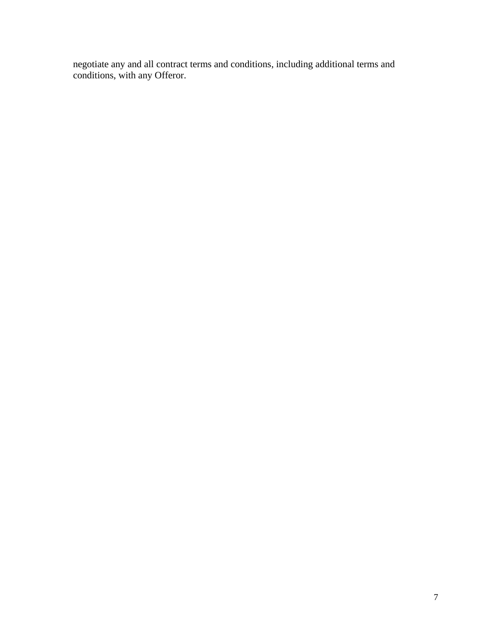negotiate any and all contract terms and conditions, including additional terms and conditions, with any Offeror.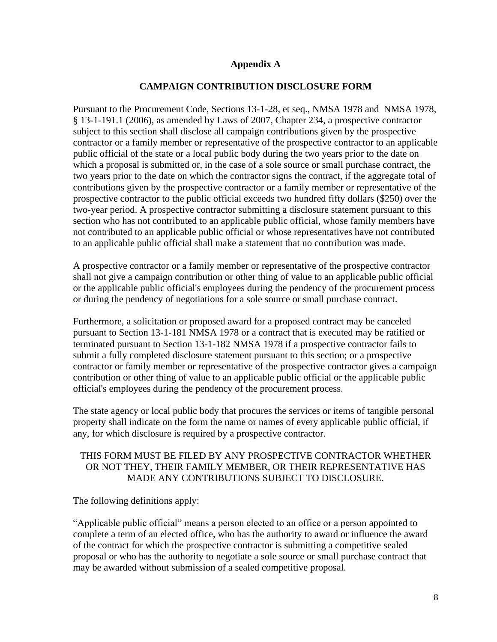#### **Appendix A**

#### **CAMPAIGN CONTRIBUTION DISCLOSURE FORM**

Pursuant to the Procurement Code, Sections 13-1-28, et seq., NMSA 1978 and NMSA 1978, § 13-1-191.1 (2006), as amended by Laws of 2007, Chapter 234, a prospective contractor subject to this section shall disclose all campaign contributions given by the prospective contractor or a family member or representative of the prospective contractor to an applicable public official of the state or a local public body during the two years prior to the date on which a proposal is submitted or, in the case of a sole source or small purchase contract, the two years prior to the date on which the contractor signs the contract, if the aggregate total of contributions given by the prospective contractor or a family member or representative of the prospective contractor to the public official exceeds two hundred fifty dollars (\$250) over the two-year period. A prospective contractor submitting a disclosure statement pursuant to this section who has not contributed to an applicable public official, whose family members have not contributed to an applicable public official or whose representatives have not contributed to an applicable public official shall make a statement that no contribution was made.

A prospective contractor or a family member or representative of the prospective contractor shall not give a campaign contribution or other thing of value to an applicable public official or the applicable public official's employees during the pendency of the procurement process or during the pendency of negotiations for a sole source or small purchase contract.

Furthermore, a solicitation or proposed award for a proposed contract may be canceled pursuant to Section 13-1-181 NMSA 1978 or a contract that is executed may be ratified or terminated pursuant to Section 13-1-182 NMSA 1978 if a prospective contractor fails to submit a fully completed disclosure statement pursuant to this section; or a prospective contractor or family member or representative of the prospective contractor gives a campaign contribution or other thing of value to an applicable public official or the applicable public official's employees during the pendency of the procurement process.

The state agency or local public body that procures the services or items of tangible personal property shall indicate on the form the name or names of every applicable public official, if any, for which disclosure is required by a prospective contractor.

#### THIS FORM MUST BE FILED BY ANY PROSPECTIVE CONTRACTOR WHETHER OR NOT THEY, THEIR FAMILY MEMBER, OR THEIR REPRESENTATIVE HAS MADE ANY CONTRIBUTIONS SUBJECT TO DISCLOSURE.

The following definitions apply:

"Applicable public official" means a person elected to an office or a person appointed to complete a term of an elected office, who has the authority to award or influence the award of the contract for which the prospective contractor is submitting a competitive sealed proposal or who has the authority to negotiate a sole source or small purchase contract that may be awarded without submission of a sealed competitive proposal.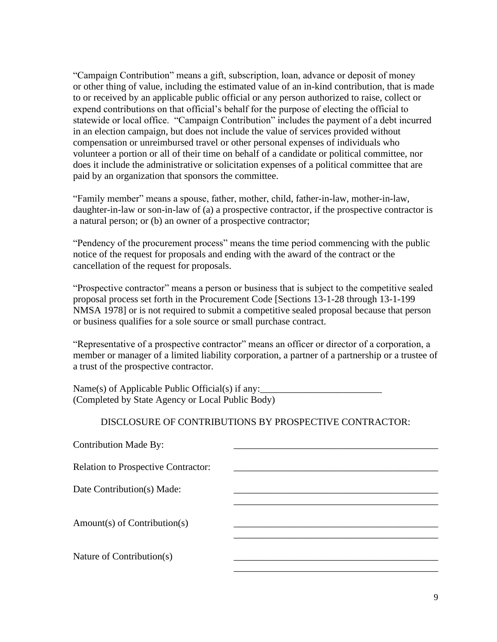"Campaign Contribution" means a gift, subscription, loan, advance or deposit of money or other thing of value, including the estimated value of an in-kind contribution, that is made to or received by an applicable public official or any person authorized to raise, collect or expend contributions on that official's behalf for the purpose of electing the official to statewide or local office. "Campaign Contribution" includes the payment of a debt incurred in an election campaign, but does not include the value of services provided without compensation or unreimbursed travel or other personal expenses of individuals who volunteer a portion or all of their time on behalf of a candidate or political committee, nor does it include the administrative or solicitation expenses of a political committee that are paid by an organization that sponsors the committee.

"Family member" means a spouse, father, mother, child, father-in-law, mother-in-law, daughter-in-law or son-in-law of (a) a prospective contractor, if the prospective contractor is a natural person; or (b) an owner of a prospective contractor;

"Pendency of the procurement process" means the time period commencing with the public notice of the request for proposals and ending with the award of the contract or the cancellation of the request for proposals.

"Prospective contractor" means a person or business that is subject to the competitive sealed proposal process set forth in the Procurement Code [Sections 13-1-28 through 13-1-199 NMSA 1978] or is not required to submit a competitive sealed proposal because that person or business qualifies for a sole source or small purchase contract.

"Representative of a prospective contractor" means an officer or director of a corporation, a member or manager of a limited liability corporation, a partner of a partnership or a trustee of a trust of the prospective contractor.

Name(s) of Applicable Public Official(s) if any: (Completed by State Agency or Local Public Body)

## DISCLOSURE OF CONTRIBUTIONS BY PROSPECTIVE CONTRACTOR: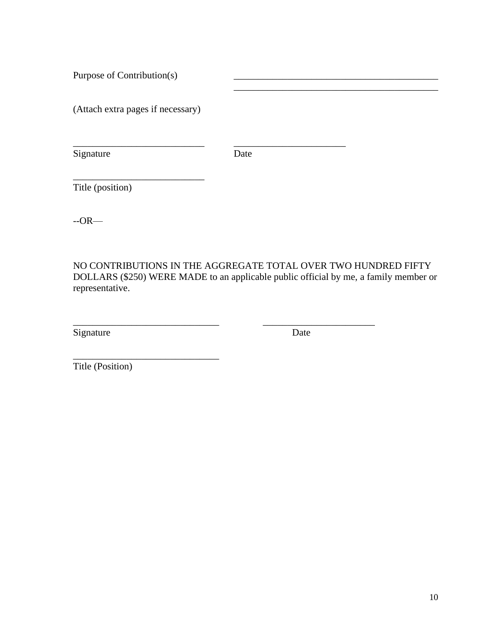Purpose of Contribution(s)

(Attach extra pages if necessary)

\_\_\_\_\_\_\_\_\_\_\_\_\_\_\_\_\_\_\_\_\_\_\_\_\_\_\_

\_\_\_\_\_\_\_\_\_\_\_\_\_\_\_\_\_\_\_\_\_\_\_\_\_\_\_\_\_\_

Signature Date

\_\_\_\_\_\_\_\_\_\_\_\_\_\_\_\_\_\_\_\_\_\_\_\_\_\_\_ \_\_\_\_\_\_\_\_\_\_\_\_\_\_\_\_\_\_\_\_\_\_\_

Title (position)

--OR—

NO CONTRIBUTIONS IN THE AGGREGATE TOTAL OVER TWO HUNDRED FIFTY DOLLARS (\$250) WERE MADE to an applicable public official by me, a family member or representative.

\_\_\_\_\_\_\_\_\_\_\_\_\_\_\_\_\_\_\_\_\_\_\_\_\_\_\_\_\_\_ \_\_\_\_\_\_\_\_\_\_\_\_\_\_\_\_\_\_\_\_\_\_\_

Signature Date

\_\_\_\_\_\_\_\_\_\_\_\_\_\_\_\_\_\_\_\_\_\_\_\_\_\_\_\_\_\_\_\_\_\_\_\_\_\_\_\_\_\_

Title (Position)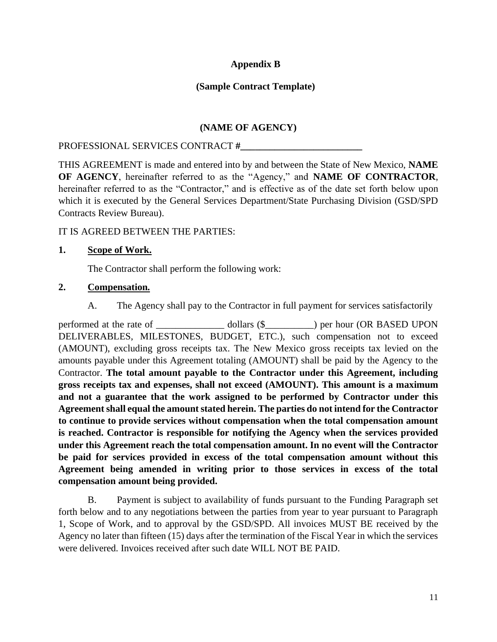## **Appendix B**

## **(Sample Contract Template)**

## **(NAME OF AGENCY)**

#### PROFESSIONAL SERVICES CONTRACT **#\_\_\_\_\_\_\_\_\_\_\_\_\_\_\_\_\_\_\_\_\_\_\_\_\_**

THIS AGREEMENT is made and entered into by and between the State of New Mexico, **NAME OF AGENCY**, hereinafter referred to as the "Agency," and **NAME OF CONTRACTOR**, hereinafter referred to as the "Contractor," and is effective as of the date set forth below upon which it is executed by the General Services Department/State Purchasing Division (GSD/SPD Contracts Review Bureau).

#### IT IS AGREED BETWEEN THE PARTIES:

#### **1. Scope of Work.**

The Contractor shall perform the following work:

#### **2. Compensation***.*

A. The Agency shall pay to the Contractor in full payment for services satisfactorily

performed at the rate of \_\_\_\_\_\_\_\_\_\_\_\_\_\_\_\_\_\_\_ dollars (\$\_\_\_\_\_\_\_\_\_) per hour (OR BASED UPON DELIVERABLES, MILESTONES, BUDGET, ETC.), such compensation not to exceed (AMOUNT), excluding gross receipts tax. The New Mexico gross receipts tax levied on the amounts payable under this Agreement totaling (AMOUNT) shall be paid by the Agency to the Contractor. **The total amount payable to the Contractor under this Agreement, including gross receipts tax and expenses, shall not exceed (AMOUNT). This amount is a maximum and not a guarantee that the work assigned to be performed by Contractor under this Agreement shall equal the amount stated herein. The parties do not intend for the Contractor to continue to provide services without compensation when the total compensation amount is reached. Contractor is responsible for notifying the Agency when the services provided under this Agreement reach the total compensation amount. In no event will the Contractor be paid for services provided in excess of the total compensation amount without this Agreement being amended in writing prior to those services in excess of the total compensation amount being provided.**

B. Payment is subject to availability of funds pursuant to the Funding Paragraph set forth below and to any negotiations between the parties from year to year pursuant to Paragraph 1, Scope of Work, and to approval by the GSD/SPD. All invoices MUST BE received by the Agency no later than fifteen (15) days after the termination of the Fiscal Year in which the services were delivered. Invoices received after such date WILL NOT BE PAID.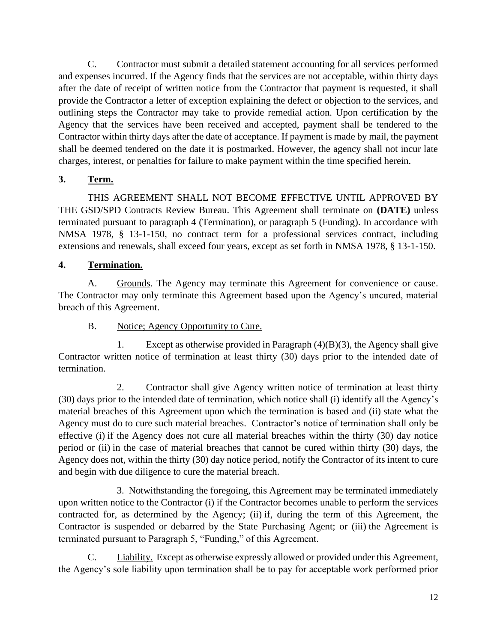C. Contractor must submit a detailed statement accounting for all services performed and expenses incurred. If the Agency finds that the services are not acceptable, within thirty days after the date of receipt of written notice from the Contractor that payment is requested, it shall provide the Contractor a letter of exception explaining the defect or objection to the services, and outlining steps the Contractor may take to provide remedial action. Upon certification by the Agency that the services have been received and accepted, payment shall be tendered to the Contractor within thirty days after the date of acceptance. If payment is made by mail, the payment shall be deemed tendered on the date it is postmarked. However, the agency shall not incur late charges, interest, or penalties for failure to make payment within the time specified herein.

# **3. Term.**

THIS AGREEMENT SHALL NOT BECOME EFFECTIVE UNTIL APPROVED BY THE GSD/SPD Contracts Review Bureau. This Agreement shall terminate on **(DATE)** unless terminated pursuant to paragraph 4 (Termination), or paragraph 5 (Funding). In accordance with NMSA 1978, § 13-1-150, no contract term for a professional services contract, including extensions and renewals, shall exceed four years, except as set forth in NMSA 1978, § 13-1-150.

## **4. Termination.**

A. Grounds. The Agency may terminate this Agreement for convenience or cause. The Contractor may only terminate this Agreement based upon the Agency's uncured, material breach of this Agreement.

## B. Notice; Agency Opportunity to Cure.

1. Except as otherwise provided in Paragraph (4)(B)(3), the Agency shall give Contractor written notice of termination at least thirty (30) days prior to the intended date of termination.

2. Contractor shall give Agency written notice of termination at least thirty (30) days prior to the intended date of termination, which notice shall (i) identify all the Agency's material breaches of this Agreement upon which the termination is based and (ii) state what the Agency must do to cure such material breaches. Contractor's notice of termination shall only be effective (i) if the Agency does not cure all material breaches within the thirty (30) day notice period or (ii) in the case of material breaches that cannot be cured within thirty (30) days, the Agency does not, within the thirty (30) day notice period, notify the Contractor of its intent to cure and begin with due diligence to cure the material breach.

3. Notwithstanding the foregoing, this Agreement may be terminated immediately upon written notice to the Contractor (i) if the Contractor becomes unable to perform the services contracted for, as determined by the Agency; (ii) if, during the term of this Agreement, the Contractor is suspended or debarred by the State Purchasing Agent; or (iii) the Agreement is terminated pursuant to Paragraph 5, "Funding," of this Agreement.

C. Liability. Except as otherwise expressly allowed or provided under this Agreement, the Agency's sole liability upon termination shall be to pay for acceptable work performed prior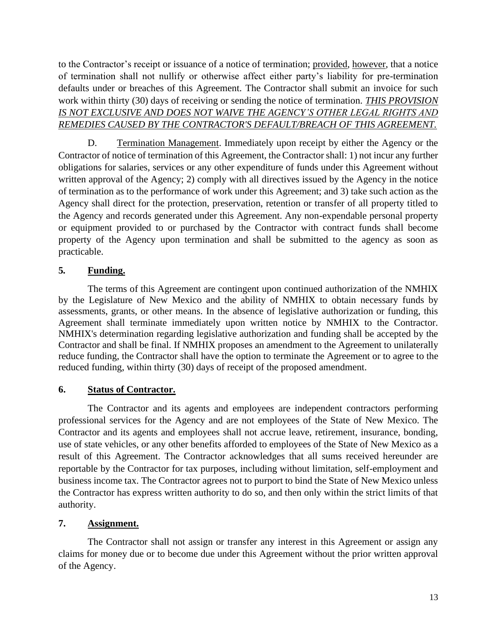to the Contractor's receipt or issuance of a notice of termination; provided, however, that a notice of termination shall not nullify or otherwise affect either party's liability for pre-termination defaults under or breaches of this Agreement. The Contractor shall submit an invoice for such work within thirty (30) days of receiving or sending the notice of termination. *THIS PROVISION*  IS NOT EXCLUSIVE AND DOES NOT WAIVE THE AGENCY'S OTHER LEGAL RIGHTS AND *REMEDIES CAUSED BY THE CONTRACTOR'S DEFAULT/BREACH OF THIS AGREEMENT.*

D. Termination Management. Immediately upon receipt by either the Agency or the Contractor of notice of termination of this Agreement, the Contractor shall: 1) not incur any further obligations for salaries, services or any other expenditure of funds under this Agreement without written approval of the Agency; 2) comply with all directives issued by the Agency in the notice of termination as to the performance of work under this Agreement; and 3) take such action as the Agency shall direct for the protection, preservation, retention or transfer of all property titled to the Agency and records generated under this Agreement. Any non-expendable personal property or equipment provided to or purchased by the Contractor with contract funds shall become property of the Agency upon termination and shall be submitted to the agency as soon as practicable.

## **5***.* **Funding.**

The terms of this Agreement are contingent upon continued authorization of the NMHIX by the Legislature of New Mexico and the ability of NMHIX to obtain necessary funds by assessments, grants, or other means. In the absence of legislative authorization or funding, this Agreement shall terminate immediately upon written notice by NMHIX to the Contractor. NMHIX's determination regarding legislative authorization and funding shall be accepted by the Contractor and shall be final. If NMHIX proposes an amendment to the Agreement to unilaterally reduce funding, the Contractor shall have the option to terminate the Agreement or to agree to the reduced funding, within thirty (30) days of receipt of the proposed amendment.

## **6. Status of Contractor.**

The Contractor and its agents and employees are independent contractors performing professional services for the Agency and are not employees of the State of New Mexico. The Contractor and its agents and employees shall not accrue leave, retirement, insurance, bonding, use of state vehicles, or any other benefits afforded to employees of the State of New Mexico as a result of this Agreement. The Contractor acknowledges that all sums received hereunder are reportable by the Contractor for tax purposes, including without limitation, self-employment and business income tax. The Contractor agrees not to purport to bind the State of New Mexico unless the Contractor has express written authority to do so, and then only within the strict limits of that authority.

# **7. Assignment.**

The Contractor shall not assign or transfer any interest in this Agreement or assign any claims for money due or to become due under this Agreement without the prior written approval of the Agency.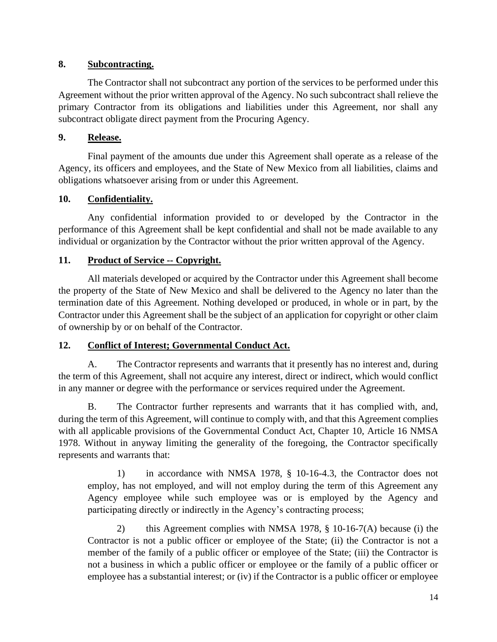## **8. Subcontracting.**

The Contractor shall not subcontract any portion of the services to be performed under this Agreement without the prior written approval of the Agency. No such subcontract shall relieve the primary Contractor from its obligations and liabilities under this Agreement, nor shall any subcontract obligate direct payment from the Procuring Agency.

## **9. Release.**

Final payment of the amounts due under this Agreement shall operate as a release of the Agency, its officers and employees, and the State of New Mexico from all liabilities, claims and obligations whatsoever arising from or under this Agreement.

# **10. Confidentiality.**

Any confidential information provided to or developed by the Contractor in the performance of this Agreement shall be kept confidential and shall not be made available to any individual or organization by the Contractor without the prior written approval of the Agency.

# **11. Product of Service -- Copyright.**

All materials developed or acquired by the Contractor under this Agreement shall become the property of the State of New Mexico and shall be delivered to the Agency no later than the termination date of this Agreement. Nothing developed or produced, in whole or in part, by the Contractor under this Agreement shall be the subject of an application for copyright or other claim of ownership by or on behalf of the Contractor.

# **12. Conflict of Interest; Governmental Conduct Act.**

A. The Contractor represents and warrants that it presently has no interest and, during the term of this Agreement, shall not acquire any interest, direct or indirect, which would conflict in any manner or degree with the performance or services required under the Agreement.

B. The Contractor further represents and warrants that it has complied with, and, during the term of this Agreement, will continue to comply with, and that this Agreement complies with all applicable provisions of the Governmental Conduct Act, Chapter 10, Article 16 NMSA 1978. Without in anyway limiting the generality of the foregoing, the Contractor specifically represents and warrants that:

1) in accordance with NMSA 1978, § 10-16-4.3, the Contractor does not employ, has not employed, and will not employ during the term of this Agreement any Agency employee while such employee was or is employed by the Agency and participating directly or indirectly in the Agency's contracting process;

2) this Agreement complies with NMSA 1978, § 10-16-7(A) because (i) the Contractor is not a public officer or employee of the State; (ii) the Contractor is not a member of the family of a public officer or employee of the State; (iii) the Contractor is not a business in which a public officer or employee or the family of a public officer or employee has a substantial interest; or (iv) if the Contractor is a public officer or employee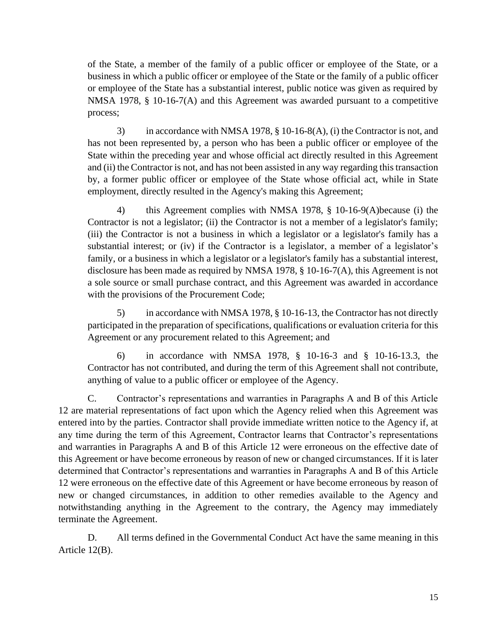of the State, a member of the family of a public officer or employee of the State, or a business in which a public officer or employee of the State or the family of a public officer or employee of the State has a substantial interest, public notice was given as required by NMSA 1978, § 10-16-7(A) and this Agreement was awarded pursuant to a competitive process;

3) in accordance with NMSA 1978, § 10-16-8(A), (i) the Contractor is not, and has not been represented by, a person who has been a public officer or employee of the State within the preceding year and whose official act directly resulted in this Agreement and (ii) the Contractor is not, and has not been assisted in any way regarding this transaction by, a former public officer or employee of the State whose official act, while in State employment, directly resulted in the Agency's making this Agreement;

4) this Agreement complies with NMSA 1978, § 10-16-9(A)because (i) the Contractor is not a legislator; (ii) the Contractor is not a member of a legislator's family; (iii) the Contractor is not a business in which a legislator or a legislator's family has a substantial interest; or (iv) if the Contractor is a legislator, a member of a legislator's family, or a business in which a legislator or a legislator's family has a substantial interest, disclosure has been made as required by NMSA 1978, § 10-16-7(A), this Agreement is not a sole source or small purchase contract, and this Agreement was awarded in accordance with the provisions of the Procurement Code;

5) in accordance with NMSA 1978, § 10-16-13, the Contractor has not directly participated in the preparation of specifications, qualifications or evaluation criteria for this Agreement or any procurement related to this Agreement; and

6) in accordance with NMSA 1978, § 10-16-3 and § 10-16-13.3, the Contractor has not contributed, and during the term of this Agreement shall not contribute, anything of value to a public officer or employee of the Agency.

C. Contractor's representations and warranties in Paragraphs A and B of this Article 12 are material representations of fact upon which the Agency relied when this Agreement was entered into by the parties. Contractor shall provide immediate written notice to the Agency if, at any time during the term of this Agreement, Contractor learns that Contractor's representations and warranties in Paragraphs A and B of this Article 12 were erroneous on the effective date of this Agreement or have become erroneous by reason of new or changed circumstances. If it is later determined that Contractor's representations and warranties in Paragraphs A and B of this Article 12 were erroneous on the effective date of this Agreement or have become erroneous by reason of new or changed circumstances, in addition to other remedies available to the Agency and notwithstanding anything in the Agreement to the contrary, the Agency may immediately terminate the Agreement.

D. All terms defined in the Governmental Conduct Act have the same meaning in this Article 12(B).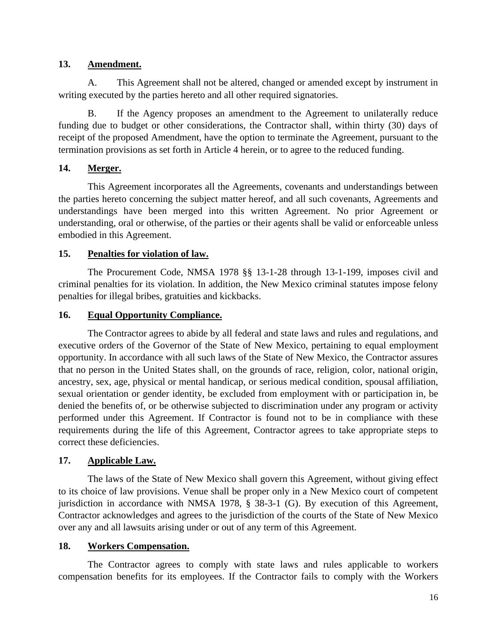## **13. Amendment.**

A. This Agreement shall not be altered, changed or amended except by instrument in writing executed by the parties hereto and all other required signatories.

B. If the Agency proposes an amendment to the Agreement to unilaterally reduce funding due to budget or other considerations, the Contractor shall, within thirty (30) days of receipt of the proposed Amendment, have the option to terminate the Agreement, pursuant to the termination provisions as set forth in Article 4 herein, or to agree to the reduced funding.

# **14. Merger.**

This Agreement incorporates all the Agreements, covenants and understandings between the parties hereto concerning the subject matter hereof, and all such covenants, Agreements and understandings have been merged into this written Agreement. No prior Agreement or understanding, oral or otherwise, of the parties or their agents shall be valid or enforceable unless embodied in this Agreement.

## **15. Penalties for violation of law.**

The Procurement Code, NMSA 1978 §§ 13-1-28 through 13-1-199, imposes civil and criminal penalties for its violation. In addition, the New Mexico criminal statutes impose felony penalties for illegal bribes, gratuities and kickbacks.

## **16. Equal Opportunity Compliance.**

The Contractor agrees to abide by all federal and state laws and rules and regulations, and executive orders of the Governor of the State of New Mexico, pertaining to equal employment opportunity. In accordance with all such laws of the State of New Mexico, the Contractor assures that no person in the United States shall, on the grounds of race, religion, color, national origin, ancestry, sex, age, physical or mental handicap, or serious medical condition, spousal affiliation, sexual orientation or gender identity, be excluded from employment with or participation in, be denied the benefits of, or be otherwise subjected to discrimination under any program or activity performed under this Agreement. If Contractor is found not to be in compliance with these requirements during the life of this Agreement, Contractor agrees to take appropriate steps to correct these deficiencies.

# **17. Applicable Law.**

The laws of the State of New Mexico shall govern this Agreement, without giving effect to its choice of law provisions. Venue shall be proper only in a New Mexico court of competent jurisdiction in accordance with NMSA 1978, § 38-3-1 (G). By execution of this Agreement, Contractor acknowledges and agrees to the jurisdiction of the courts of the State of New Mexico over any and all lawsuits arising under or out of any term of this Agreement.

# **18. Workers Compensation.**

The Contractor agrees to comply with state laws and rules applicable to workers compensation benefits for its employees. If the Contractor fails to comply with the Workers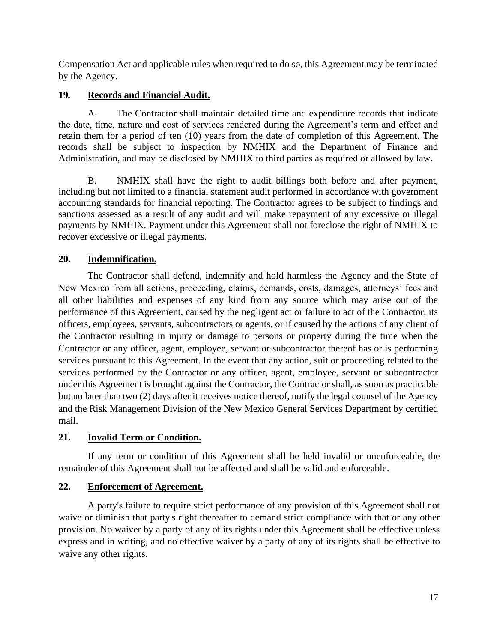Compensation Act and applicable rules when required to do so, this Agreement may be terminated by the Agency.

# **19***.* **Records and Financial Audit.**

A. The Contractor shall maintain detailed time and expenditure records that indicate the date, time, nature and cost of services rendered during the Agreement's term and effect and retain them for a period of ten (10) years from the date of completion of this Agreement. The records shall be subject to inspection by NMHIX and the Department of Finance and Administration, and may be disclosed by NMHIX to third parties as required or allowed by law.

B. NMHIX shall have the right to audit billings both before and after payment, including but not limited to a financial statement audit performed in accordance with government accounting standards for financial reporting. The Contractor agrees to be subject to findings and sanctions assessed as a result of any audit and will make repayment of any excessive or illegal payments by NMHIX. Payment under this Agreement shall not foreclose the right of NMHIX to recover excessive or illegal payments.

# **20. Indemnification.**

The Contractor shall defend, indemnify and hold harmless the Agency and the State of New Mexico from all actions, proceeding, claims, demands, costs, damages, attorneys' fees and all other liabilities and expenses of any kind from any source which may arise out of the performance of this Agreement, caused by the negligent act or failure to act of the Contractor, its officers, employees, servants, subcontractors or agents, or if caused by the actions of any client of the Contractor resulting in injury or damage to persons or property during the time when the Contractor or any officer, agent, employee, servant or subcontractor thereof has or is performing services pursuant to this Agreement. In the event that any action, suit or proceeding related to the services performed by the Contractor or any officer, agent, employee, servant or subcontractor under this Agreement is brought against the Contractor, the Contractor shall, as soon as practicable but no later than two (2) days after it receives notice thereof, notify the legal counsel of the Agency and the Risk Management Division of the New Mexico General Services Department by certified mail.

# **21. Invalid Term or Condition.**

If any term or condition of this Agreement shall be held invalid or unenforceable, the remainder of this Agreement shall not be affected and shall be valid and enforceable.

# **22. Enforcement of Agreement.**

A party's failure to require strict performance of any provision of this Agreement shall not waive or diminish that party's right thereafter to demand strict compliance with that or any other provision. No waiver by a party of any of its rights under this Agreement shall be effective unless express and in writing, and no effective waiver by a party of any of its rights shall be effective to waive any other rights.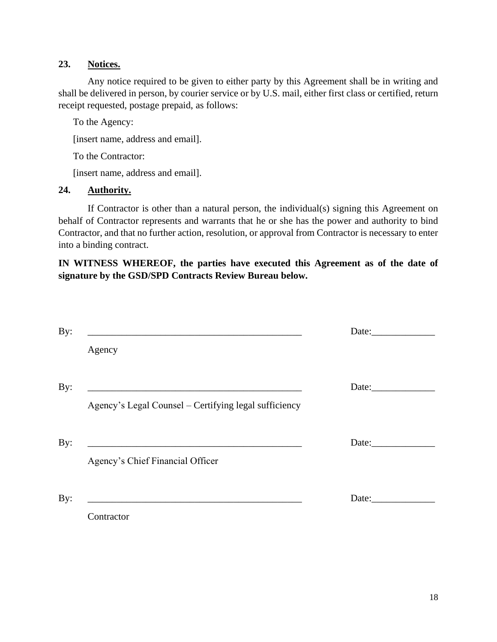## **23. Notices.**

Any notice required to be given to either party by this Agreement shall be in writing and shall be delivered in person, by courier service or by U.S. mail, either first class or certified, return receipt requested, postage prepaid, as follows:

To the Agency:

[insert name, address and email].

To the Contractor:

[insert name, address and email].

#### **24. Authority.**

If Contractor is other than a natural person, the individual(s) signing this Agreement on behalf of Contractor represents and warrants that he or she has the power and authority to bind Contractor, and that no further action, resolution, or approval from Contractor is necessary to enter into a binding contract.

## **IN WITNESS WHEREOF, the parties have executed this Agreement as of the date of signature by the GSD/SPD Contracts Review Bureau below.**

| By: |                                                       | Date: |
|-----|-------------------------------------------------------|-------|
|     | Agency                                                |       |
| By: | Agency's Legal Counsel – Certifying legal sufficiency | Date: |
| By: | Agency's Chief Financial Officer                      | Date: |
| By: | Contractor                                            | Date: |